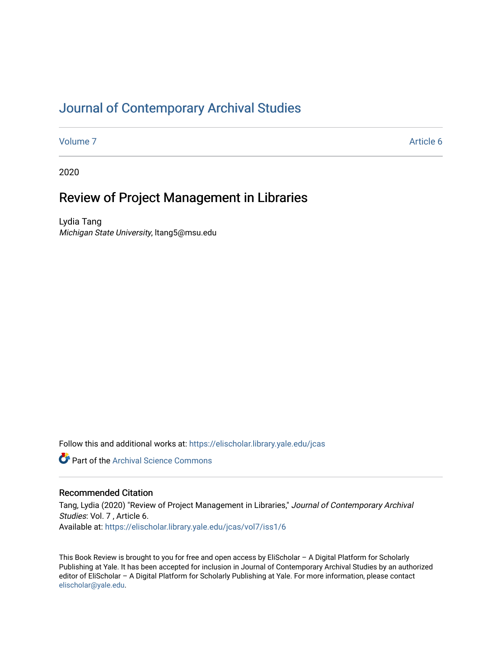# [Journal of Contemporary Archival Studies](https://elischolar.library.yale.edu/jcas)

[Volume 7](https://elischolar.library.yale.edu/jcas/vol7) Article 6

2020

# Review of Project Management in Libraries

Lydia Tang Michigan State University, ltang5@msu.edu

Follow this and additional works at: [https://elischolar.library.yale.edu/jcas](https://elischolar.library.yale.edu/jcas?utm_source=elischolar.library.yale.edu%2Fjcas%2Fvol7%2Fiss1%2F6&utm_medium=PDF&utm_campaign=PDFCoverPages) 

**Part of the Archival Science Commons** 

#### Recommended Citation

Tang, Lydia (2020) "Review of Project Management in Libraries," Journal of Contemporary Archival Studies: Vol. 7 , Article 6. Available at: [https://elischolar.library.yale.edu/jcas/vol7/iss1/6](https://elischolar.library.yale.edu/jcas/vol7/iss1/6?utm_source=elischolar.library.yale.edu%2Fjcas%2Fvol7%2Fiss1%2F6&utm_medium=PDF&utm_campaign=PDFCoverPages)

This Book Review is brought to you for free and open access by EliScholar – A Digital Platform for Scholarly Publishing at Yale. It has been accepted for inclusion in Journal of Contemporary Archival Studies by an authorized editor of EliScholar – A Digital Platform for Scholarly Publishing at Yale. For more information, please contact [elischolar@yale.edu.](mailto:elischolar@yale.edu)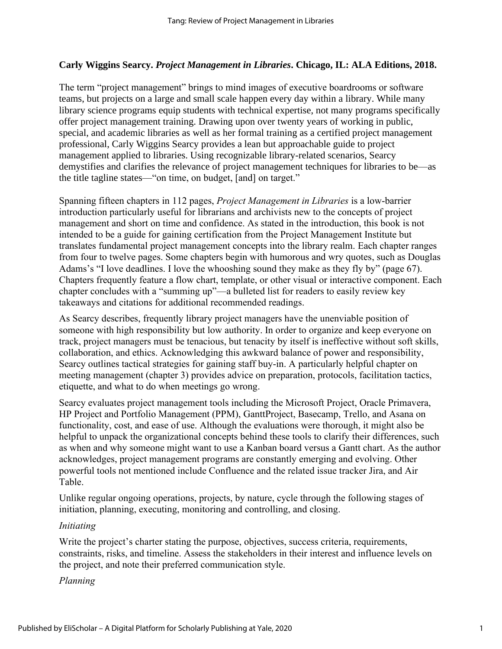### **Carly Wiggins Searcy.** *Project Management in Libraries***. Chicago, IL: ALA Editions, 2018.**

The term "project management" brings to mind images of executive boardrooms or software teams, but projects on a large and small scale happen every day within a library. While many library science programs equip students with technical expertise, not many programs specifically offer project management training. Drawing upon over twenty years of working in public, special, and academic libraries as well as her formal training as a certified project management professional, Carly Wiggins Searcy provides a lean but approachable guide to project management applied to libraries. Using recognizable library-related scenarios, Searcy demystifies and clarifies the relevance of project management techniques for libraries to be—as the title tagline states—"on time, on budget, [and] on target."

Spanning fifteen chapters in 112 pages, *Project Management in Libraries* is a low-barrier introduction particularly useful for librarians and archivists new to the concepts of project management and short on time and confidence. As stated in the introduction, this book is not intended to be a guide for gaining certification from the Project Management Institute but translates fundamental project management concepts into the library realm. Each chapter ranges from four to twelve pages. Some chapters begin with humorous and wry quotes, such as Douglas Adams's "I love deadlines. I love the whooshing sound they make as they fly by" (page 67). Chapters frequently feature a flow chart, template, or other visual or interactive component. Each chapter concludes with a "summing up"—a bulleted list for readers to easily review key takeaways and citations for additional recommended readings.

As Searcy describes, frequently library project managers have the unenviable position of someone with high responsibility but low authority. In order to organize and keep everyone on track, project managers must be tenacious, but tenacity by itself is ineffective without soft skills, collaboration, and ethics. Acknowledging this awkward balance of power and responsibility, Searcy outlines tactical strategies for gaining staff buy-in. A particularly helpful chapter on meeting management (chapter 3) provides advice on preparation, protocols, facilitation tactics, etiquette, and what to do when meetings go wrong.

Searcy evaluates project management tools including the Microsoft Project, Oracle Primavera, HP Project and Portfolio Management (PPM), GanttProject, Basecamp, Trello, and Asana on functionality, cost, and ease of use. Although the evaluations were thorough, it might also be helpful to unpack the organizational concepts behind these tools to clarify their differences, such as when and why someone might want to use a Kanban board versus a Gantt chart. As the author acknowledges, project management programs are constantly emerging and evolving. Other powerful tools not mentioned include Confluence and the related issue tracker Jira, and Air Table.

Unlike regular ongoing operations, projects, by nature, cycle through the following stages of initiation, planning, executing, monitoring and controlling, and closing.

#### *Initiating*

Write the project's charter stating the purpose, objectives, success criteria, requirements, constraints, risks, and timeline. Assess the stakeholders in their interest and influence levels on the project, and note their preferred communication style.

#### *Planning*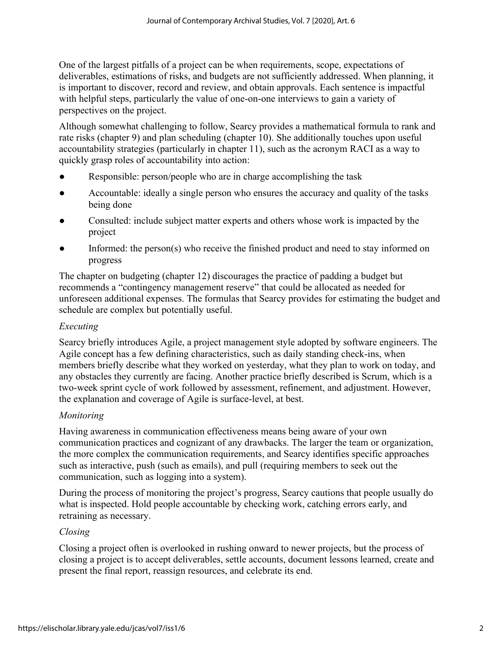One of the largest pitfalls of a project can be when requirements, scope, expectations of deliverables, estimations of risks, and budgets are not sufficiently addressed. When planning, it is important to discover, record and review, and obtain approvals. Each sentence is impactful with helpful steps, particularly the value of one-on-one interviews to gain a variety of perspectives on the project.

Although somewhat challenging to follow, Searcy provides a mathematical formula to rank and rate risks (chapter 9) and plan scheduling (chapter 10). She additionally touches upon useful accountability strategies (particularly in chapter 11), such as the acronym RACI as a way to quickly grasp roles of accountability into action:

- Responsible: person/people who are in charge accomplishing the task
- Accountable: ideally a single person who ensures the accuracy and quality of the tasks being done
- Consulted: include subject matter experts and others whose work is impacted by the project
- Informed: the person(s) who receive the finished product and need to stay informed on progress

The chapter on budgeting (chapter 12) discourages the practice of padding a budget but recommends a "contingency management reserve" that could be allocated as needed for unforeseen additional expenses. The formulas that Searcy provides for estimating the budget and schedule are complex but potentially useful.

## *Executing*

Searcy briefly introduces Agile, a project management style adopted by software engineers. The Agile concept has a few defining characteristics, such as daily standing check-ins, when members briefly describe what they worked on yesterday, what they plan to work on today, and any obstacles they currently are facing. Another practice briefly described is Scrum, which is a two-week sprint cycle of work followed by assessment, refinement, and adjustment. However, the explanation and coverage of Agile is surface-level, at best.

# *Monitoring*

Having awareness in communication effectiveness means being aware of your own communication practices and cognizant of any drawbacks. The larger the team or organization, the more complex the communication requirements, and Searcy identifies specific approaches such as interactive, push (such as emails), and pull (requiring members to seek out the communication, such as logging into a system).

During the process of monitoring the project's progress, Searcy cautions that people usually do what is inspected. Hold people accountable by checking work, catching errors early, and retraining as necessary.

### *Closing*

Closing a project often is overlooked in rushing onward to newer projects, but the process of closing a project is to accept deliverables, settle accounts, document lessons learned, create and present the final report, reassign resources, and celebrate its end.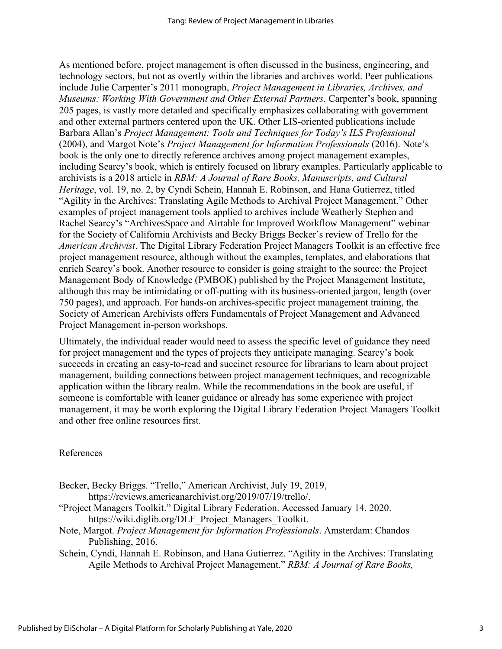As mentioned before, project management is often discussed in the business, engineering, and technology sectors, but not as overtly within the libraries and archives world. Peer publications include Julie Carpenter's 2011 monograph, *Project Management in Libraries, Archives, and Museums: Working With Government and Other External Partners.* Carpenter's book, spanning 205 pages, is vastly more detailed and specifically emphasizes collaborating with government and other external partners centered upon the UK. Other LIS-oriented publications include Barbara Allan's *Project Management: Tools and Techniques for Today's ILS Professional* (2004), and Margot Note's *Project Management for Information Professionals* (2016). Note's book is the only one to directly reference archives among project management examples, including Searcy's book, which is entirely focused on library examples. Particularly applicable to archivists is a 2018 article in *RBM: A Journal of Rare Books, Manuscripts, and Cultural Heritage*, vol. 19, no. 2, by Cyndi Schein, Hannah E. Robinson, and Hana Gutierrez, titled "Agility in the Archives: Translating Agile Methods to Archival Project Management." Other examples of project management tools applied to archives include Weatherly Stephen and Rachel Searcy's "ArchivesSpace and Airtable for Improved Workflow Management" webinar for the Society of California Archivists and Becky Briggs Becker's review of Trello for the *American Archivist*. The Digital Library Federation Project Managers Toolkit is an effective free project management resource, although without the examples, templates, and elaborations that enrich Searcy's book. Another resource to consider is going straight to the source: the Project Management Body of Knowledge (PMBOK) published by the Project Management Institute, although this may be intimidating or off-putting with its business-oriented jargon, length (over 750 pages), and approach. For hands-on archives-specific project management training, the Society of American Archivists offers Fundamentals of Project Management and Advanced Project Management in-person workshops.

Ultimately, the individual reader would need to assess the specific level of guidance they need for project management and the types of projects they anticipate managing. Searcy's book succeeds in creating an easy-to-read and succinct resource for librarians to learn about project management, building connections between project management techniques, and recognizable application within the library realm. While the recommendations in the book are useful, if someone is comfortable with leaner guidance or already has some experience with project management, it may be worth exploring the Digital Library Federation Project Managers Toolkit and other free online resources first.

#### References

Becker, Becky Briggs. "Trello," American Archivist, July 19, 2019, [https://reviews.americanarchivist.org/2019/07/19/trello/.](https://reviews.americanarchivist.org/2019/07/19/trello/)

- "Project Managers Toolkit." Digital Library Federation. Accessed January 14, 2020. [https://wiki.diglib.org/DLF\\_Project\\_Managers\\_Toolkit.](https://wiki.diglib.org/DLF_Project_Managers_Toolkit)
- Note, Margot. *Project Management for Information Professionals*. Amsterdam: Chandos Publishing, 2016.
- Schein, Cyndi, Hannah E. Robinson, and Hana Gutierrez. "Agility in the Archives: Translating Agile Methods to Archival Project Management." *RBM: A Journal of Rare Books,*